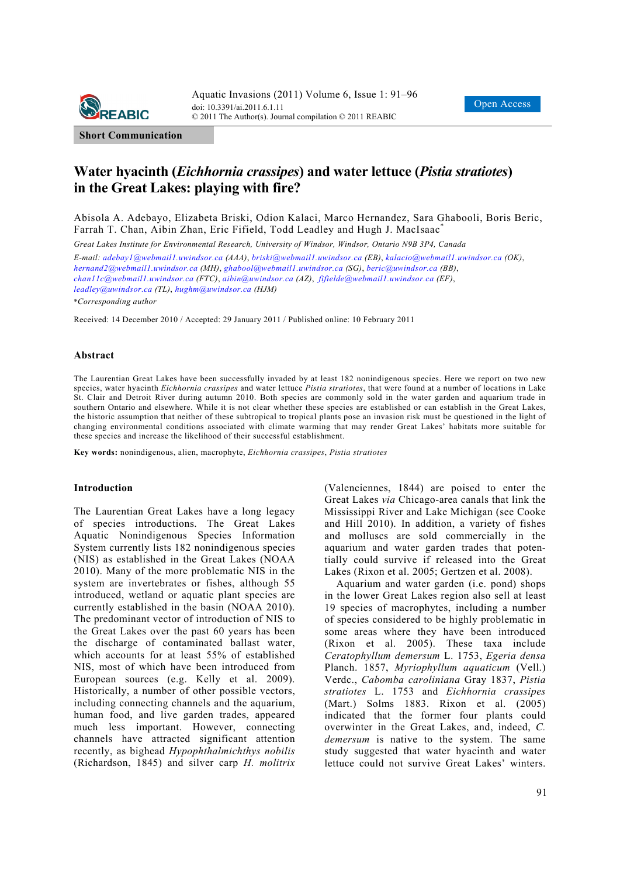

**Short Communication** 

# **Water hyacinth (***Eichhornia crassipes***) and water lettuce (***Pistia stratiotes***) in the Great Lakes: playing with fire?**

Abisola A. Adebayo, Elizabeta Briski, Odion Kalaci, Marco Hernandez, Sara Ghabooli, Boris Beric, Farrah T. Chan, Aibin Zhan, Eric Fifield, Todd Leadley and Hugh J. MacIsaac\*

*Great Lakes Institute for Environmental Research, University of Windsor, Windsor, Ontario N9B 3P4, Canada*

*E-mail: adebay1@webmail1.uwindsor.ca (AAA)*, *briski@webmail1.uwindsor.ca (EB)*, *kalacio@webmail1.uwindsor.ca (OK)*, *hernand2@webmail1.uwindsor.ca (MH)*, *ghabool@webmail1.uwindsor.ca (SG)*, *beric@uwindsor.ca (BB)*, *chan11c@webmail1.uwindsor.ca (FTC)*, *aibin@uwindsor.ca (AZ)*, *fifielde@webmail1.uwindsor.ca (EF)*, *leadley@uwindsor.ca (TL)*, *hughm@uwindsor.ca (HJM)*

\**Corresponding author* 

Received: 14 December 2010 / Accepted: 29 January 2011 / Published online: 10 February 2011

#### **Abstract**

The Laurentian Great Lakes have been successfully invaded by at least 182 nonindigenous species. Here we report on two new species, water hyacinth *Eichhornia crassipes* and water lettuce *Pistia stratiotes*, that were found at a number of locations in Lake St. Clair and Detroit River during autumn 2010. Both species are commonly sold in the water garden and aquarium trade in southern Ontario and elsewhere. While it is not clear whether these species are established or can establish in the Great Lakes, the historic assumption that neither of these subtropical to tropical plants pose an invasion risk must be questioned in the light of changing environmental conditions associated with climate warming that may render Great Lakes' habitats more suitable for these species and increase the likelihood of their successful establishment.

**Key words:** nonindigenous, alien, macrophyte, *Eichhornia crassipes*, *Pistia stratiotes*

#### **Introduction**

The Laurentian Great Lakes have a long legacy of species introductions. The Great Lakes Aquatic Nonindigenous Species Information System currently lists 182 nonindigenous species (NIS) as established in the Great Lakes (NOAA 2010). Many of the more problematic NIS in the system are invertebrates or fishes, although 55 introduced, wetland or aquatic plant species are currently established in the basin (NOAA 2010). The predominant vector of introduction of NIS to the Great Lakes over the past 60 years has been the discharge of contaminated ballast water, which accounts for at least 55% of established NIS, most of which have been introduced from European sources (e.g. Kelly et al. 2009). Historically, a number of other possible vectors, including connecting channels and the aquarium, human food, and live garden trades, appeared much less important. However, connecting channels have attracted significant attention recently, as bighead *Hypophthalmichthys nobilis*  (Richardson, 1845) and silver carp *H. molitrix*  (Valenciennes, 1844) are poised to enter the Great Lakes *via* Chicago-area canals that link the Mississippi River and Lake Michigan (see Cooke and Hill 2010). In addition, a variety of fishes and molluscs are sold commercially in the aquarium and water garden trades that potentially could survive if released into the Great Lakes (Rixon et al. 2005; Gertzen et al. 2008).

Aquarium and water garden (i.e. pond) shops in the lower Great Lakes region also sell at least 19 species of macrophytes, including a number of species considered to be highly problematic in some areas where they have been introduced (Rixon et al. 2005). These taxa include *Ceratophyllum demersum* L. 1753, *Egeria densa* Planch. 1857, *Myriophyllum aquaticum* (Vell.) Verdc., *Cabomba caroliniana* Gray 1837, *Pistia stratiotes* L. 1753 and *Eichhornia crassipes* (Mart.) Solms 1883. Rixon et al. (2005) indicated that the former four plants could overwinter in the Great Lakes, and, indeed, *C. demersum* is native to the system. The same study suggested that water hyacinth and water lettuce could not survive Great Lakes' winters.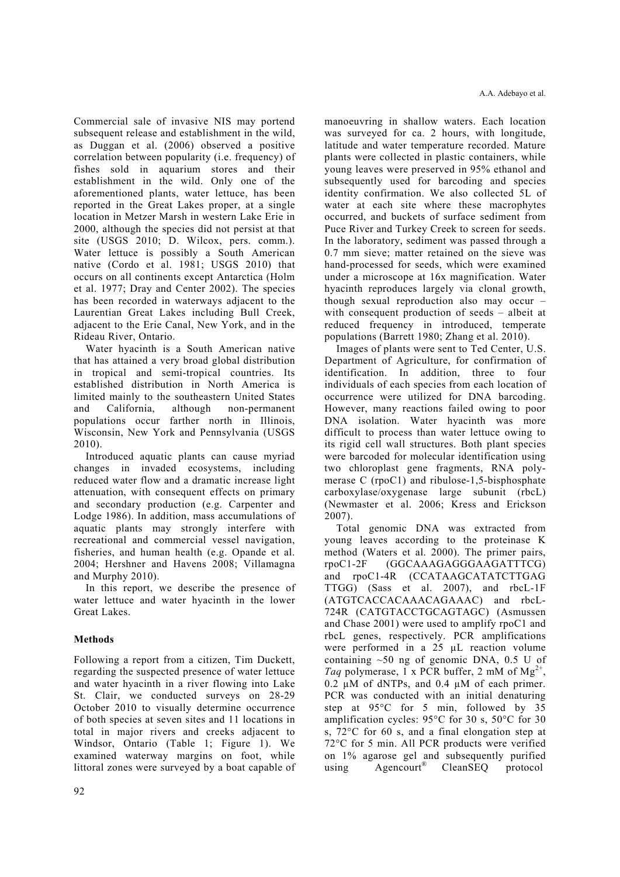Commercial sale of invasive NIS may portend subsequent release and establishment in the wild, as Duggan et al. (2006) observed a positive correlation between popularity (i.e. frequency) of fishes sold in aquarium stores and their establishment in the wild. Only one of the aforementioned plants, water lettuce, has been reported in the Great Lakes proper, at a single location in Metzer Marsh in western Lake Erie in 2000, although the species did not persist at that site (USGS 2010; D. Wilcox, pers. comm.). Water lettuce is possibly a South American native (Cordo et al. 1981; USGS 2010) that occurs on all continents except Antarctica (Holm et al. 1977; Dray and Center 2002). The species has been recorded in waterways adjacent to the Laurentian Great Lakes including Bull Creek, adjacent to the Erie Canal, New York, and in the Rideau River, Ontario.

Water hyacinth is a South American native that has attained a very broad global distribution in tropical and semi-tropical countries. Its established distribution in North America is limited mainly to the southeastern United States and California, although non-permanent populations occur farther north in Illinois, Wisconsin, New York and Pennsylvania (USGS 2010).

Introduced aquatic plants can cause myriad changes in invaded ecosystems, including reduced water flow and a dramatic increase light attenuation, with consequent effects on primary and secondary production (e.g. Carpenter and Lodge 1986). In addition, mass accumulations of aquatic plants may strongly interfere with recreational and commercial vessel navigation, fisheries, and human health (e.g. Opande et al. 2004; Hershner and Havens 2008; Villamagna and Murphy 2010).

In this report, we describe the presence of water lettuce and water hyacinth in the lower Great Lakes.

# **Methods**

Following a report from a citizen, Tim Duckett, regarding the suspected presence of water lettuce and water hyacinth in a river flowing into Lake St. Clair, we conducted surveys on 28-29 October 2010 to visually determine occurrence of both species at seven sites and 11 locations in total in major rivers and creeks adjacent to Windsor, Ontario (Table 1; Figure 1). We examined waterway margins on foot, while littoral zones were surveyed by a boat capable of manoeuvring in shallow waters. Each location was surveyed for ca. 2 hours, with longitude, latitude and water temperature recorded. Mature plants were collected in plastic containers, while young leaves were preserved in 95% ethanol and subsequently used for barcoding and species identity confirmation. We also collected 5L of water at each site where these macrophytes occurred, and buckets of surface sediment from Puce River and Turkey Creek to screen for seeds. In the laboratory, sediment was passed through a 0.7 mm sieve; matter retained on the sieve was hand-processed for seeds, which were examined under a microscope at 16x magnification. Water hyacinth reproduces largely via clonal growth, though sexual reproduction also may occur – with consequent production of seeds – albeit at reduced frequency in introduced, temperate populations (Barrett 1980; Zhang et al. 2010).

Images of plants were sent to Ted Center, U.S. Department of Agriculture, for confirmation of identification. In addition, three to four individuals of each species from each location of occurrence were utilized for DNA barcoding. However, many reactions failed owing to poor DNA isolation. Water hyacinth was more difficult to process than water lettuce owing to its rigid cell wall structures. Both plant species were barcoded for molecular identification using two chloroplast gene fragments, RNA polymerase C (rpoC1) and ribulose-1,5-bisphosphate carboxylase/oxygenase large subunit (rbcL) (Newmaster et al. 2006; Kress and Erickson 2007).

Total genomic DNA was extracted from young leaves according to the proteinase K method (Waters et al. 2000). The primer pairs, rpoC1-2F (GGCAAAGAGGGAAGATTTCG) and rpoC1-4R (CCATAAGCATATCTTGAG TTGG) (Sass et al. 2007), and rbcL-1F (ATGTCACCACAAACAGAAAC) and rbcL-724R (CATGTACCTGCAGTAGC) (Asmussen and Chase 2001) were used to amplify rpoC1 and rbcL genes, respectively. PCR amplifications were performed in a 25 µL reaction volume containing ~50 ng of genomic DNA, 0.5 U of *Taq* polymerase,  $\overline{1}$  x PCR buffer, 2 mM of Mg<sup>2+</sup>, 0.2 µM of dNTPs, and 0.4 µM of each primer. PCR was conducted with an initial denaturing step at 95°C for 5 min, followed by 35 amplification cycles: 95°C for 30 s, 50°C for 30 s, 72°C for 60 s, and a final elongation step at 72°C for 5 min. All PCR products were verified on 1% agarose gel and subsequently purified using Agencourt® CleanSEQ protocol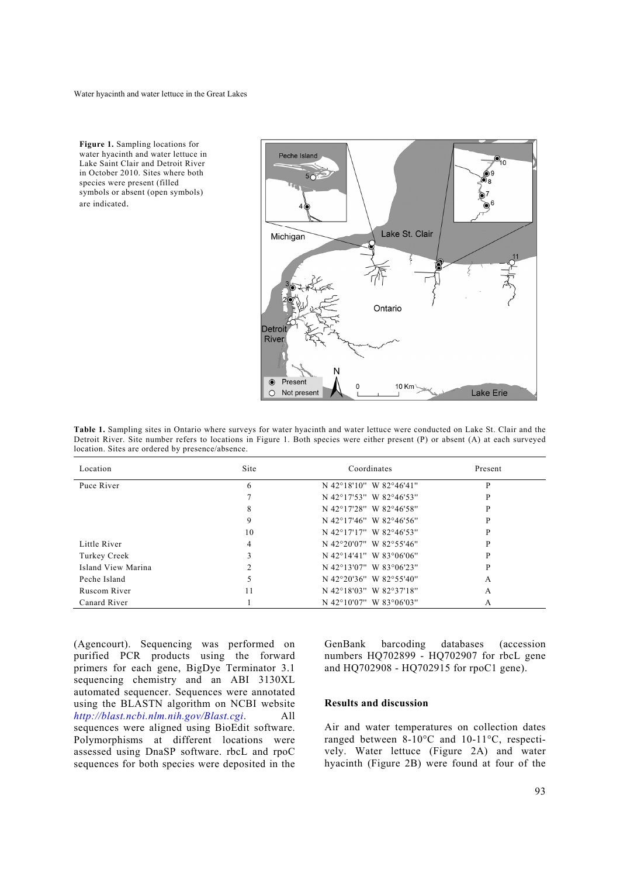Water hyacinth and water lettuce in the Great Lakes

**Figure 1.** Sampling locations for water hyacinth and water lettuce in Lake Saint Clair and Detroit River in October 2010. Sites where both species were present (filled symbols or absent (open symbols) are indicated.



**Table 1.** Sampling sites in Ontario where surveys for water hyacinth and water lettuce were conducted on Lake St. Clair and the Detroit River. Site number refers to locations in Figure 1. Both species were either present (P) or absent (A) at each surveyed location. Sites are ordered by presence/absence.

| Location           | Site | Coordinates             | Present |
|--------------------|------|-------------------------|---------|
| Puce River         | 6    | N 42°18'10" W 82°46'41" | P       |
|                    |      | N 42°17'53" W 82°46'53" | P       |
|                    | 8    | N 42°17'28" W 82°46'58" | P       |
|                    | 9    | N 42°17'46" W 82°46'56" | P       |
|                    | 10   | N 42°17'17" W 82°46'53" | P       |
| Little River       | 4    | N 42°20'07" W 82°55'46" | P       |
| Turkey Creek       |      | N 42°14'41" W 83°06'06" | P       |
| Island View Marina |      | N 42°13'07" W 83°06'23" | P       |
| Peche Island       |      | N 42°20'36" W 82°55'40" | A       |
| Ruscom River       | 11   | N 42°18'03" W 82°37'18" | A       |
| Canard River       |      | N 42°10'07" W 83°06'03" | А       |

(Agencourt). Sequencing was performed on purified PCR products using the forward primers for each gene, BigDye Terminator 3.1 sequencing chemistry and an ABI 3130XL automated sequencer. Sequences were annotated using the BLASTN algorithm on NCBI website *http://blast.ncbi.nlm.nih.gov/Blast.cgi*. All sequences were aligned using BioEdit software. Polymorphisms at different locations were assessed using DnaSP software. rbcL and rpoC sequences for both species were deposited in the GenBank barcoding databases (accession numbers HQ702899 - HQ702907 for rbcL gene and HQ702908 - HQ702915 for rpoC1 gene).

### **Results and discussion**

Air and water temperatures on collection dates ranged between 8-10°C and 10-11°C, respectively. Water lettuce (Figure 2A) and water hyacinth (Figure 2B) were found at four of the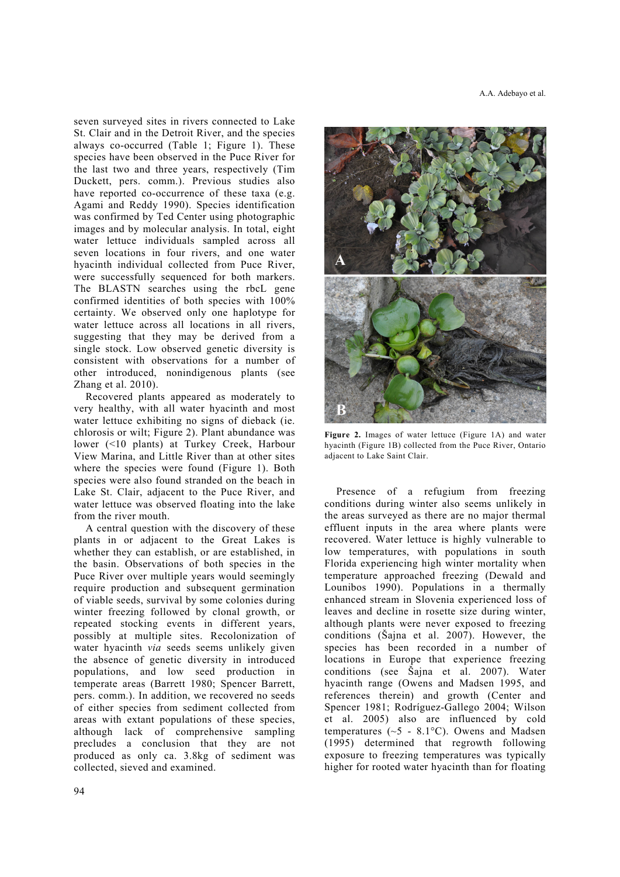seven surveyed sites in rivers connected to Lake St. Clair and in the Detroit River, and the species always co-occurred (Table 1; Figure 1). These species have been observed in the Puce River for the last two and three years, respectively (Tim Duckett, pers. comm.). Previous studies also have reported co-occurrence of these taxa (e.g. Agami and Reddy 1990). Species identification was confirmed by Ted Center using photographic images and by molecular analysis. In total, eight water lettuce individuals sampled across all seven locations in four rivers, and one water hyacinth individual collected from Puce River, were successfully sequenced for both markers. The BLASTN searches using the rbcL gene confirmed identities of both species with 100% certainty. We observed only one haplotype for water lettuce across all locations in all rivers, suggesting that they may be derived from a single stock. Low observed genetic diversity is consistent with observations for a number of other introduced, nonindigenous plants (see Zhang et al. 2010).

Recovered plants appeared as moderately to very healthy, with all water hyacinth and most water lettuce exhibiting no signs of dieback (ie. chlorosis or wilt; Figure 2). Plant abundance was lower (<10 plants) at Turkey Creek, Harbour View Marina, and Little River than at other sites where the species were found (Figure 1). Both species were also found stranded on the beach in Lake St. Clair, adjacent to the Puce River, and water lettuce was observed floating into the lake from the river mouth.

A central question with the discovery of these plants in or adjacent to the Great Lakes is whether they can establish, or are established, in the basin. Observations of both species in the Puce River over multiple years would seemingly require production and subsequent germination of viable seeds, survival by some colonies during winter freezing followed by clonal growth, or repeated stocking events in different years, possibly at multiple sites. Recolonization of water hyacinth *via* seeds seems unlikely given the absence of genetic diversity in introduced populations, and low seed production in temperate areas (Barrett 1980; Spencer Barrett, pers. comm.). In addition, we recovered no seeds of either species from sediment collected from areas with extant populations of these species, although lack of comprehensive sampling precludes a conclusion that they are not produced as only ca. 3.8kg of sediment was collected, sieved and examined.



**Figure 2.** Images of water lettuce (Figure 1A) and water hyacinth (Figure 1B) collected from the Puce River, Ontario adjacent to Lake Saint Clair.

Presence of a refugium from freezing conditions during winter also seems unlikely in the areas surveyed as there are no major thermal effluent inputs in the area where plants were recovered. Water lettuce is highly vulnerable to low temperatures, with populations in south Florida experiencing high winter mortality when temperature approached freezing (Dewald and Lounibos 1990). Populations in a thermally enhanced stream in Slovenia experienced loss of leaves and decline in rosette size during winter, although plants were never exposed to freezing conditions (Šajna et al. 2007). However, the species has been recorded in a number of locations in Europe that experience freezing conditions (see Šajna et al. 2007). Water hyacinth range (Owens and Madsen 1995, and references therein) and growth (Center and Spencer 1981; Rodríguez-Gallego 2004; Wilson et al. 2005) also are influenced by cold temperatures (~5 - 8.1°C). Owens and Madsen (1995) determined that regrowth following exposure to freezing temperatures was typically higher for rooted water hyacinth than for floating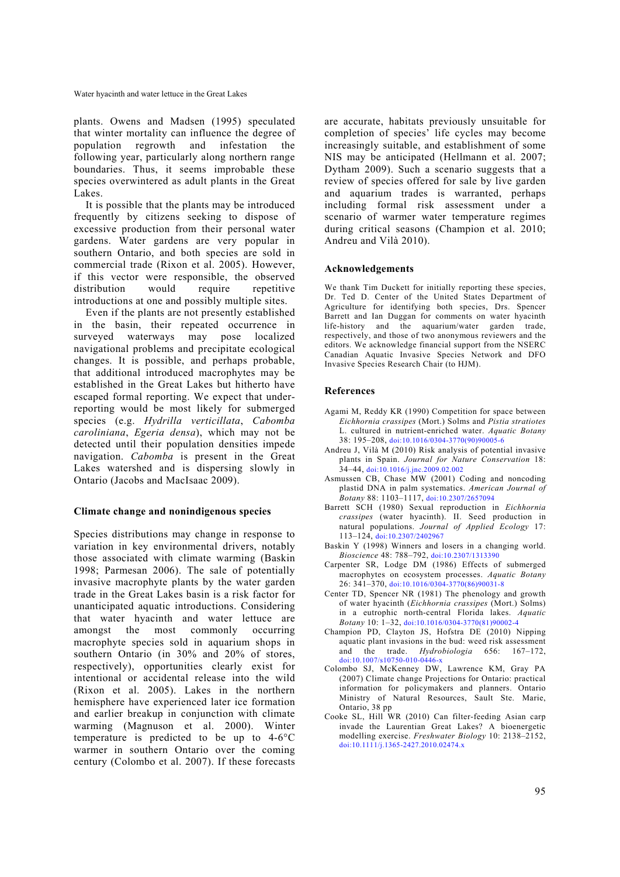Water hyacinth and water lettuce in the Great Lakes

plants. Owens and Madsen (1995) speculated that winter mortality can influence the degree of population regrowth and infestation the following year, particularly along northern range boundaries. Thus, it seems improbable these species overwintered as adult plants in the Great Lakes.

It is possible that the plants may be introduced frequently by citizens seeking to dispose of excessive production from their personal water gardens. Water gardens are very popular in southern Ontario, and both species are sold in commercial trade (Rixon et al. 2005). However, if this vector were responsible, the observed distribution would require repetitive introductions at one and possibly multiple sites.

Even if the plants are not presently established in the basin, their repeated occurrence in surveyed waterways may pose localized navigational problems and precipitate ecological changes. It is possible, and perhaps probable, that additional introduced macrophytes may be established in the Great Lakes but hitherto have escaped formal reporting. We expect that underreporting would be most likely for submerged species (e.g. *Hydrilla verticillata*, *Cabomba caroliniana*, *Egeria densa*), which may not be detected until their population densities impede navigation. *Cabomba* is present in the Great Lakes watershed and is dispersing slowly in Ontario (Jacobs and MacIsaac 2009).

#### **Climate change and nonindigenous species**

Species distributions may change in response to variation in key environmental drivers, notably those associated with climate warming (Baskin 1998; Parmesan 2006). The sale of potentially invasive macrophyte plants by the water garden trade in the Great Lakes basin is a risk factor for unanticipated aquatic introductions. Considering that water hyacinth and water lettuce are amongst the most commonly occurring macrophyte species sold in aquarium shops in southern Ontario (in 30% and 20% of stores, respectively), opportunities clearly exist for intentional or accidental release into the wild (Rixon et al. 2005). Lakes in the northern hemisphere have experienced later ice formation and earlier breakup in conjunction with climate warming (Magnuson et al. 2000). Winter temperature is predicted to be up to 4-6°C warmer in southern Ontario over the coming century (Colombo et al. 2007). If these forecasts are accurate, habitats previously unsuitable for completion of species' life cycles may become increasingly suitable, and establishment of some NIS may be anticipated (Hellmann et al. 2007; Dytham 2009). Such a scenario suggests that a review of species offered for sale by live garden and aquarium trades is warranted, perhaps including formal risk assessment under a scenario of warmer water temperature regimes during critical seasons (Champion et al. 2010; Andreu and Vilà 2010).

#### **Acknowledgements**

We thank Tim Duckett for initially reporting these species, Dr. Ted D. Center of the United States Department of Agriculture for identifying both species, Drs. Spencer Barrett and Ian Duggan for comments on water hyacinth life-history and the aquarium/water garden trade, respectively, and those of two anonymous reviewers and the editors. We acknowledge financial support from the NSERC Canadian Aquatic Invasive Species Network and DFO Invasive Species Research Chair (to HJM).

# **References**

- Agami M, Reddy KR (1990) Competition for space between *Eichhornia crassipes* (Mort.) Solms and *Pistia stratiotes* L. cultured in nutrient-enriched water. *Aquatic Botany*  38: 195–208, doi:10.1016/0304-3770(90)90005-6
- Andreu J, Vilà M (2010) Risk analysis of potential invasive plants in Spain. *Journal for Nature Conservation* 18: 34–44, doi:10.1016/j.jnc.2009.02.002
- Asmussen CB, Chase MW (2001) Coding and noncoding plastid DNA in palm systematics. *American Journal of Botany* 88: 1103–1117, doi:10.2307/2657094
- Barrett SCH (1980) Sexual reproduction in *Eichhornia crassipes* (water hyacinth). II. Seed production in natural populations. *Journal of Applied Ecology* 17: 113–124, doi:10.2307/2402967
- Baskin Y (1998) Winners and losers in a changing world. *Bioscience* 48: 788–792, doi:10.2307/1313390
- Carpenter SR, Lodge DM (1986) Effects of submerged macrophytes on ecosystem processes. *Aquatic Botany* 26: 341–370, doi:10.1016/0304-3770(86)90031-8
- Center TD, Spencer NR (1981) The phenology and growth of water hyacinth (*Eichhornia crassipes* (Mort.) Solms) in a eutrophic north-central Florida lakes. *Aquatic Botany* 10: 1–32, doi:10.1016/0304-3770(81)90002-4
- Champion PD, Clayton JS, Hofstra DE (2010) Nipping aquatic plant invasions in the bud: weed risk assessment and the trade. *Hydrobiologia* 656: 167–172, doi:10.1007/s10750-010-0446-x
- Colombo SJ, McKenney DW, Lawrence KM, Gray PA (2007) Climate change Projections for Ontario: practical information for policymakers and planners. Ontario Ministry of Natural Resources, Sault Ste. Marie, Ontario, 38 pp
- Cooke SL, Hill WR (2010) Can filter-feeding Asian carp invade the Laurentian Great Lakes? A bioenergetic modelling exercise. *Freshwater Biology* 10: 2138–2152, doi:10.1111/j.1365-2427.2010.02474.x